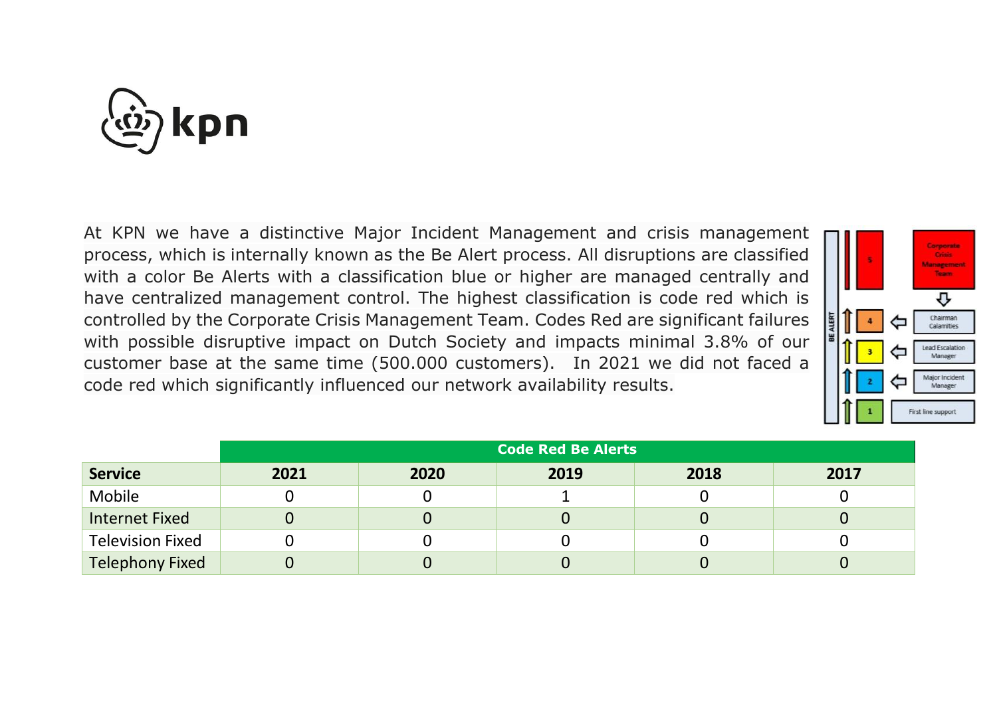

At KPN we have a distinctive Major Incident Management and crisis management process, which is internally known as the Be Alert process. All disruptions are classified with a color Be Alerts with a classification blue or higher are managed centrally and have centralized management control. The highest classification is code red which is controlled by the Corporate Crisis Management Team. Codes Red are significant failures with possible disruptive impact on Dutch Society and impacts minimal 3.8% of our customer base at the same time (500.000 customers). In 2021 we did not faced a code red which significantly influenced our network availability results.



|                         | <b>Code Red Be Alerts</b> |      |      |      |      |
|-------------------------|---------------------------|------|------|------|------|
| <b>Service</b>          | 2021                      | 2020 | 2019 | 2018 | 2017 |
| Mobile                  |                           |      |      |      |      |
| <b>Internet Fixed</b>   |                           |      |      |      |      |
| <b>Television Fixed</b> |                           |      |      |      |      |
| <b>Telephony Fixed</b>  |                           |      |      |      |      |